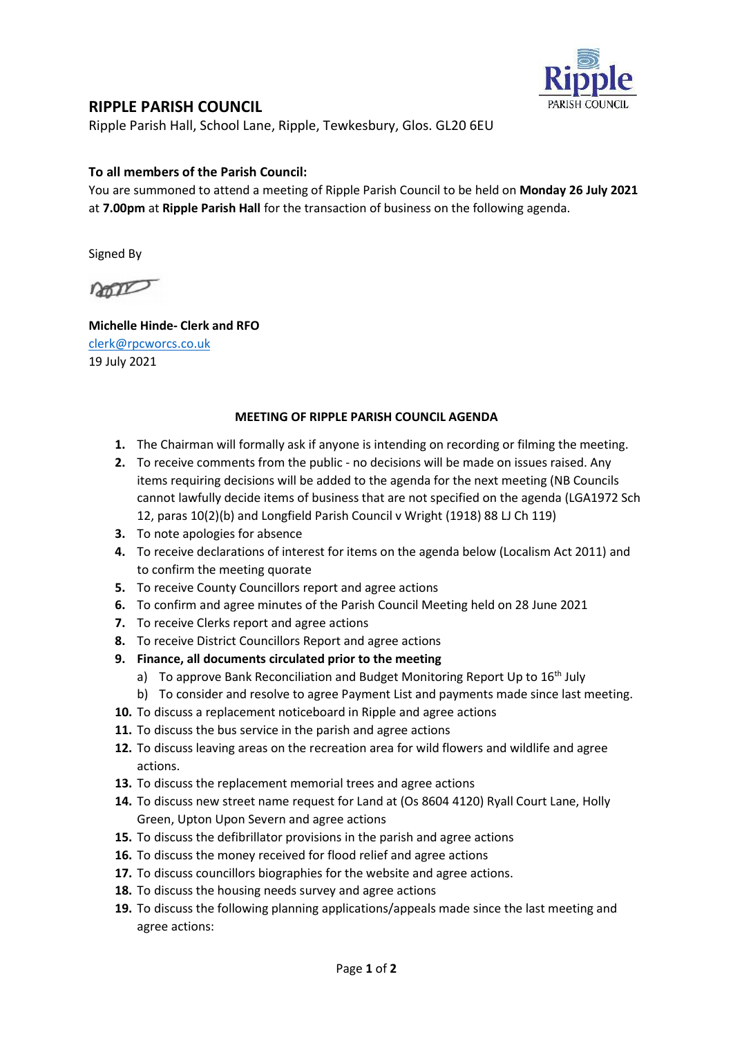

## RIPPLE PARISH COUNCIL

Ripple Parish Hall, School Lane, Ripple, Tewkesbury, Glos. GL20 6EU

## To all members of the Parish Council:

You are summoned to attend a meeting of Ripple Parish Council to be held on Monday 26 July 2021 at 7.00pm at Ripple Parish Hall for the transaction of business on the following agenda.

Signed By

noon

Michelle Hinde- Clerk and RFO clerk@rpcworcs.co.uk 19 July 2021

## MEETING OF RIPPLE PARISH COUNCIL AGENDA

- 1. The Chairman will formally ask if anyone is intending on recording or filming the meeting.
- 2. To receive comments from the public no decisions will be made on issues raised. Any items requiring decisions will be added to the agenda for the next meeting (NB Councils cannot lawfully decide items of business that are not specified on the agenda (LGA1972 Sch 12, paras 10(2)(b) and Longfield Parish Council v Wright (1918) 88 LJ Ch 119)
- 3. To note apologies for absence
- 4. To receive declarations of interest for items on the agenda below (Localism Act 2011) and to confirm the meeting quorate
- 5. To receive County Councillors report and agree actions
- 6. To confirm and agree minutes of the Parish Council Meeting held on 28 June 2021
- 7. To receive Clerks report and agree actions
- 8. To receive District Councillors Report and agree actions
- 9. Finance, all documents circulated prior to the meeting
	- a) To approve Bank Reconciliation and Budget Monitoring Report Up to  $16<sup>th</sup>$  July
	- b) To consider and resolve to agree Payment List and payments made since last meeting.
- 10. To discuss a replacement noticeboard in Ripple and agree actions
- 11. To discuss the bus service in the parish and agree actions
- 12. To discuss leaving areas on the recreation area for wild flowers and wildlife and agree actions.
- 13. To discuss the replacement memorial trees and agree actions
- 14. To discuss new street name request for Land at (Os 8604 4120) Ryall Court Lane, Holly Green, Upton Upon Severn and agree actions
- 15. To discuss the defibrillator provisions in the parish and agree actions
- 16. To discuss the money received for flood relief and agree actions
- 17. To discuss councillors biographies for the website and agree actions.
- 18. To discuss the housing needs survey and agree actions
- 19. To discuss the following planning applications/appeals made since the last meeting and agree actions: